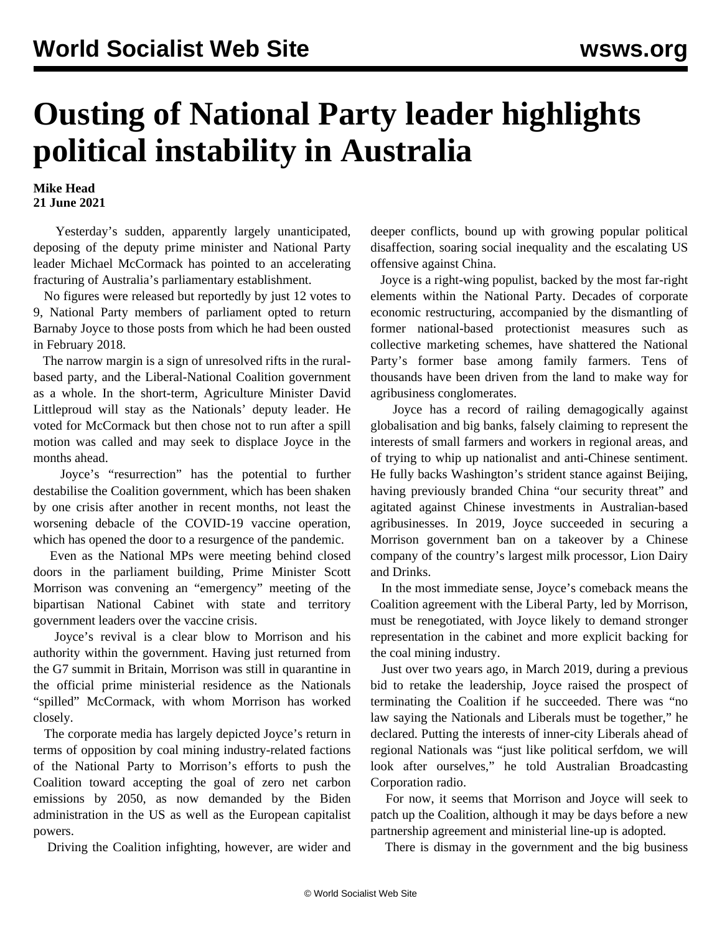## **Ousting of National Party leader highlights political instability in Australia**

## **Mike Head 21 June 2021**

 Yesterday's sudden, apparently largely unanticipated, deposing of the deputy prime minister and National Party leader Michael McCormack has pointed to an accelerating fracturing of Australia's parliamentary establishment.

 No figures were released but reportedly by just 12 votes to 9, National Party members of parliament opted to return Barnaby Joyce to those posts from which he had been ousted in February 2018.

 The narrow margin is a sign of unresolved rifts in the ruralbased party, and the Liberal-National Coalition government as a whole. In the short-term, Agriculture Minister David Littleproud will stay as the Nationals' deputy leader. He voted for McCormack but then chose not to run after a spill motion was called and may seek to displace Joyce in the months ahead.

 Joyce's "resurrection" has the potential to further destabilise the Coalition government, which has been shaken by one crisis after another in recent months, not least the worsening debacle of the COVID-19 vaccine operation, which has opened the door to a resurgence of the pandemic.

 Even as the National MPs were meeting behind closed doors in the parliament building, Prime Minister Scott Morrison was convening an "emergency" meeting of the bipartisan National Cabinet with state and territory government leaders over the [vaccine crisis.](/en/articles/2021/06/22/sydn-j22.html)

 Joyce's revival is a clear blow to Morrison and his authority within the government. Having just returned from the G7 summit in Britain, Morrison was still in quarantine in the official prime ministerial residence as the Nationals "spilled" McCormack, with whom Morrison has worked closely.

 The corporate media has largely depicted Joyce's return in terms of opposition by coal mining industry-related factions of the National Party to Morrison's efforts to push the Coalition toward accepting the goal of zero net carbon emissions by 2050, as now demanded by the Biden administration in the US as well as the European capitalist powers.

Driving the Coalition infighting, however, are wider and

deeper conflicts, bound up with growing popular political disaffection, soaring social inequality and the escalating US offensive against China.

 Joyce is a right-wing populist, backed by the most far-right elements within the National Party. Decades of corporate economic restructuring, accompanied by the dismantling of former national-based protectionist measures such as collective marketing schemes, have shattered the National Party's former base among family farmers. Tens of thousands have been driven from the land to make way for agribusiness conglomerates.

 Joyce has a record of railing demagogically against globalisation and big banks, falsely claiming to represent the interests of small farmers and workers in regional areas, and of trying to whip up nationalist and anti-Chinese sentiment. He fully backs Washington's strident stance against Beijing, having previously branded China "our security threat" and agitated against Chinese investments in Australian-based agribusinesses. In 2019, Joyce succeeded in securing a Morrison government ban on a takeover by a Chinese company of the country's largest milk processor, Lion Dairy and Drinks.

 In the most immediate sense, Joyce's comeback means the Coalition agreement with the Liberal Party, led by Morrison, must be renegotiated, with Joyce likely to demand stronger representation in the cabinet and more explicit backing for the coal mining industry.

 Just over two years ago, in March 2019, during a previous bid to retake the leadership, Joyce raised the prospect of terminating the Coalition if he succeeded. There was "no law saying the Nationals and Liberals must be together," he declared. Putting the interests of inner-city Liberals ahead of regional Nationals was "just like political serfdom, we will look after ourselves," he told Australian Broadcasting Corporation radio.

 For now, it seems that Morrison and Joyce will seek to patch up the Coalition, although it may be days before a new partnership agreement and ministerial line-up is adopted.

There is dismay in the government and the big business